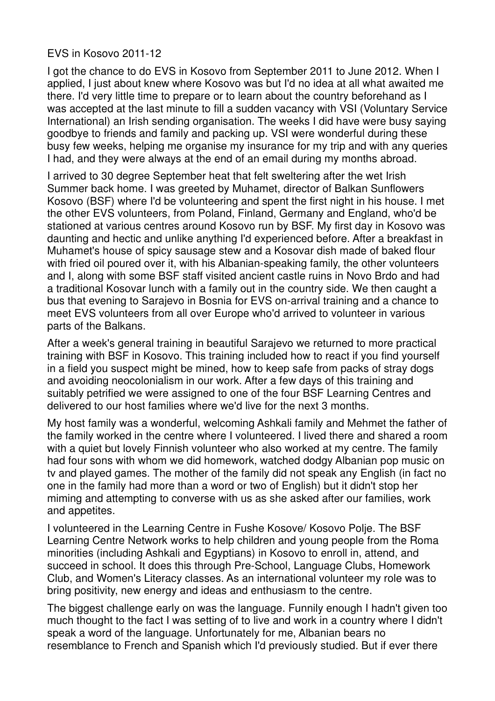## EVS in Kosovo 2011-12

I got the chance to do EVS in Kosovo from September 2011 to June 2012. When I applied, I just about knew where Kosovo was but I'd no idea at all what awaited me there. I'd very little time to prepare or to learn about the country beforehand as I was accepted at the last minute to fill a sudden vacancy with VSI (Voluntary Service International) an Irish sending organisation. The weeks I did have were busy saying goodbye to friends and family and packing up. VSI were wonderful during these busy few weeks, helping me organise my insurance for my trip and with any queries I had, and they were always at the end of an email during my months abroad.

I arrived to 30 degree September heat that felt sweltering after the wet Irish Summer back home. I was greeted by Muhamet, director of Balkan Sunflowers Kosovo (BSF) where I'd be volunteering and spent the first night in his house. I met the other EVS volunteers, from Poland, Finland, Germany and England, who'd be stationed at various centres around Kosovo run by BSF. My first day in Kosovo was daunting and hectic and unlike anything I'd experienced before. After a breakfast in Muhamet's house of spicy sausage stew and a Kosovar dish made of baked flour with fried oil poured over it, with his Albanian-speaking family, the other volunteers and I, along with some BSF staff visited ancient castle ruins in Novo Brdo and had a traditional Kosovar lunch with a family out in the country side. We then caught a bus that evening to Sarajevo in Bosnia for EVS on-arrival training and a chance to meet EVS volunteers from all over Europe who'd arrived to volunteer in various parts of the Balkans.

After a week's general training in beautiful Sarajevo we returned to more practical training with BSF in Kosovo. This training included how to react if you find yourself in a field you suspect might be mined, how to keep safe from packs of stray dogs and avoiding neocolonialism in our work. After a few days of this training and suitably petrified we were assigned to one of the four BSF Learning Centres and delivered to our host families where we'd live for the next 3 months.

My host family was a wonderful, welcoming Ashkali family and Mehmet the father of the family worked in the centre where I volunteered. I lived there and shared a room with a quiet but lovely Finnish volunteer who also worked at my centre. The family had four sons with whom we did homework, watched dodgy Albanian pop music on tv and played games. The mother of the family did not speak any English (in fact no one in the family had more than a word or two of English) but it didn't stop her miming and attempting to converse with us as she asked after our families, work and appetites.

I volunteered in the Learning Centre in Fushe Kosove/ Kosovo Polje. The BSF Learning Centre Network works to help children and young people from the Roma minorities (including Ashkali and Egyptians) in Kosovo to enroll in, attend, and succeed in school. It does this through Pre-School, Language Clubs, Homework Club, and Women's Literacy classes. As an international volunteer my role was to bring positivity, new energy and ideas and enthusiasm to the centre.

The biggest challenge early on was the language. Funnily enough I hadn't given too much thought to the fact I was setting of to live and work in a country where I didn't speak a word of the language. Unfortunately for me, Albanian bears no resemblance to French and Spanish which I'd previously studied. But if ever there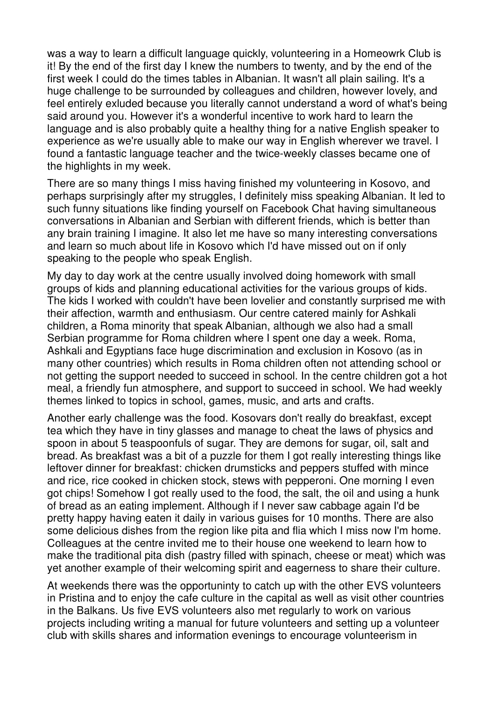was a way to learn a difficult language quickly, volunteering in a Homeowrk Club is it! By the end of the first day I knew the numbers to twenty, and by the end of the first week I could do the times tables in Albanian. It wasn't all plain sailing. It's a huge challenge to be surrounded by colleagues and children, however lovely, and feel entirely exluded because you literally cannot understand a word of what's being said around you. However it's a wonderful incentive to work hard to learn the language and is also probably quite a healthy thing for a native English speaker to experience as we're usually able to make our way in English wherever we travel. I found a fantastic language teacher and the twice-weekly classes became one of the highlights in my week.

There are so many things I miss having finished my volunteering in Kosovo, and perhaps surprisingly after my struggles, I definitely miss speaking Albanian. It led to such funny situations like finding yourself on Facebook Chat having simultaneous conversations in Albanian and Serbian with different friends, which is better than any brain training I imagine. It also let me have so many interesting conversations and learn so much about life in Kosovo which I'd have missed out on if only speaking to the people who speak English.

My day to day work at the centre usually involved doing homework with small groups of kids and planning educational activities for the various groups of kids. The kids I worked with couldn't have been lovelier and constantly surprised me with their affection, warmth and enthusiasm. Our centre catered mainly for Ashkali children, a Roma minority that speak Albanian, although we also had a small Serbian programme for Roma children where I spent one day a week. Roma, Ashkali and Egyptians face huge discrimination and exclusion in Kosovo (as in many other countries) which results in Roma children often not attending school or not getting the support needed to succeed in school. In the centre children got a hot meal, a friendly fun atmosphere, and support to succeed in school. We had weekly themes linked to topics in school, games, music, and arts and crafts.

Another early challenge was the food. Kosovars don't really do breakfast, except tea which they have in tiny glasses and manage to cheat the laws of physics and spoon in about 5 teaspoonfuls of sugar. They are demons for sugar, oil, salt and bread. As breakfast was a bit of a puzzle for them I got really interesting things like leftover dinner for breakfast: chicken drumsticks and peppers stuffed with mince and rice, rice cooked in chicken stock, stews with pepperoni. One morning I even got chips! Somehow I got really used to the food, the salt, the oil and using a hunk of bread as an eating implement. Although if I never saw cabbage again I'd be pretty happy having eaten it daily in various guises for 10 months. There are also some delicious dishes from the region like pita and flia which I miss now I'm home. Colleagues at the centre invited me to their house one weekend to learn how to make the traditional pita dish (pastry filled with spinach, cheese or meat) which was yet another example of their welcoming spirit and eagerness to share their culture.

At weekends there was the opportuninty to catch up with the other EVS volunteers in Pristina and to enjoy the cafe culture in the capital as well as visit other countries in the Balkans. Us five EVS volunteers also met regularly to work on various projects including writing a manual for future volunteers and setting up a volunteer club with skills shares and information evenings to encourage volunteerism in